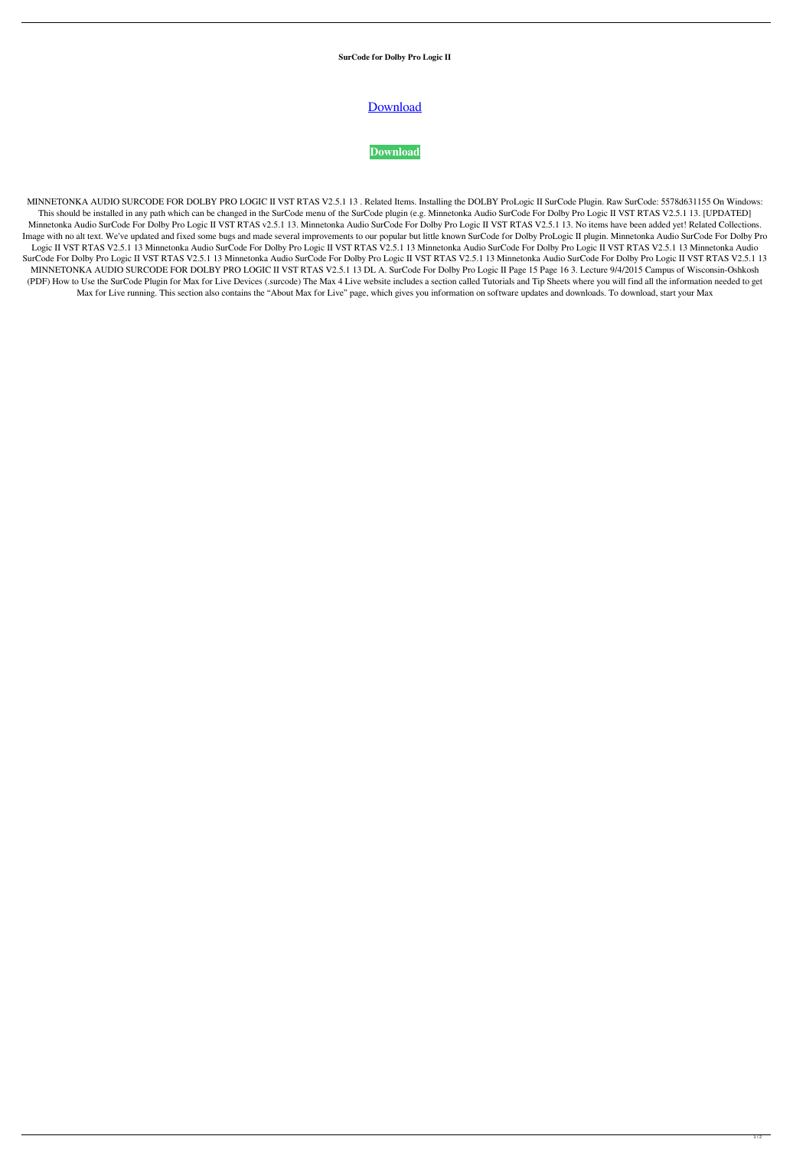## **SurCode for Dolby Pro Logic II**

## [Download](https://tinurll.com/2l1kc1)

## **[Download](https://tinurll.com/2l1kc1)**

MINNETONKA AUDIO SURCODE FOR DOLBY PRO LOGIC II VST RTAS V2.5.1 13 . Related Items. Installing the DOLBY ProLogic II SurCode Plugin. Raw SurCode: 5578d631155 On Windows: This should be installed in any path which can be changed in the SurCode menu of the SurCode plugin (e.g. Minnetonka Audio SurCode For Dolby Pro Logic II VST RTAS V2.5.1 13. [UPDATED] Minnetonka Audio SurCode For Dolby Pro Logic II VST RTAS v2.5.1 13. Minnetonka Audio SurCode For Dolby Pro Logic II VST RTAS V2.5.1 13. No items have been added yet! Related Collections. Image with no alt text. We've updated and fixed some bugs and made several improvements to our popular but little known SurCode for Dolby ProLogic II plugin. Minnetonka Audio SurCode For Dolby Pro Logic II VST RTAS V2.5.1 13 Minnetonka Audio SurCode For Dolby Pro Logic II VST RTAS V2.5.1 13 Minnetonka Audio SurCode For Dolby Pro Logic II VST RTAS V2.5.1 13 Minnetonka Audio SurCode For Dolby Pro Logic II VST RTAS V2.5.1 13 Minnetonka Audio SurCode For Dolby Pro Logic II VST of Dolby Pro Logic II VST RTAS V2.5.1 13 Minnetonka Audio SurCode For Dolby Pro Logic II VST RTAS V2.5.1 13 MINNETONKA AUDIO SURCODE FOR DOLBY PRO LOGIC II VST RTAS V2.5.1 13 DL A. SurCode For Dolby Pro Logic II Page 15 Page 16 3. Lecture 9/4/2015 Campus of Wisconsin-Oshkosh (PDF) How to Use the SurCode Plugin for Max for Live Devices (.surcode) The Max 4 Live website includes a section called Tutorials and Tip Sheets where you will find all the information needed to get Max for Live running. This section also contains the "About Max for Live" page, which gives you information on software updates and downloads. To download, start your Max